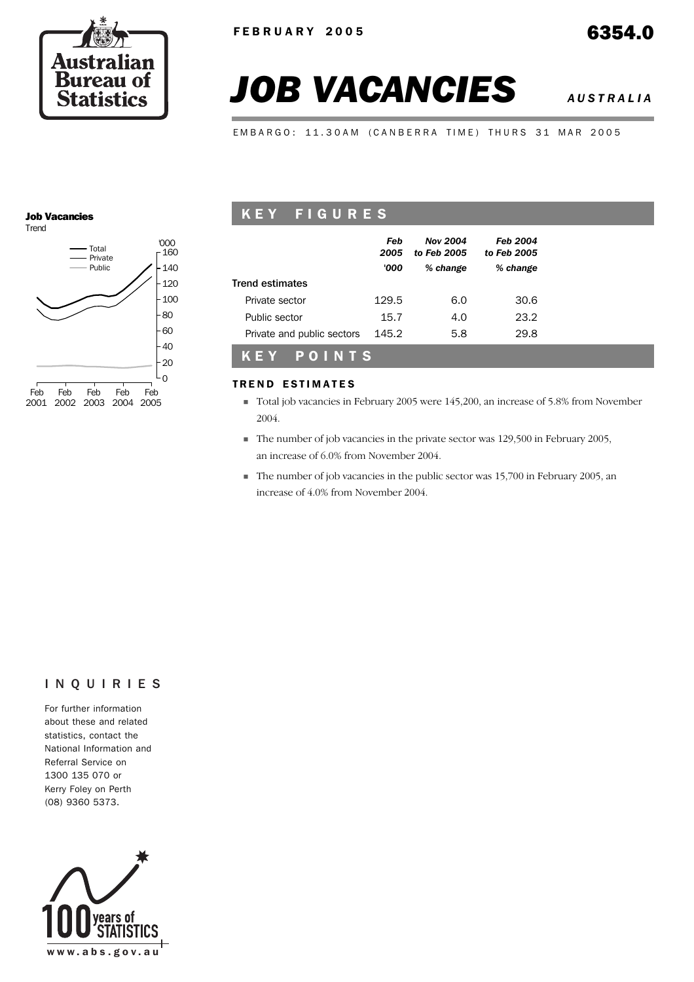

# *JOB VACANCIES AUSTRALIA*

EMBARGO: 11.30AM (CANBERRA TIME) THURS 31 MAR 2005

#### Job Vacancies Trend



## KEY FIGURES

|                            | Feb<br>2005<br>'000 | <b>Nov 2004</b><br>to Feb 2005<br>% change | <b>Feb 2004</b><br>to Feb 2005<br>% change |
|----------------------------|---------------------|--------------------------------------------|--------------------------------------------|
| <b>Trend estimates</b>     |                     |                                            |                                            |
| Private sector             | 129.5               | 6.0                                        | 30.6                                       |
| Public sector              | 15.7                | 4.0                                        | 23.2                                       |
| Private and public sectors | 145.2               | 5.8                                        | 29.8                                       |
| POINTS<br>KEY              |                     |                                            |                                            |

#### **TREND ESTIMATES**

- ! Total job vacancies in February 2005 were 145,200, an increase of 5.8% from November 2004.
- ! The number of job vacancies in the private sector was 129,500 in February 2005, an increase of 6.0% from November 2004.
- ! The number of job vacancies in the public sector was 15,700 in February 2005, an increase of 4.0% from November 2004.

#### INQUIRIES

For further information about these and related statistics, contact the National Information and Referral Service on 1300 135 070 or Kerry Foley on Perth (08) 9360 5373.

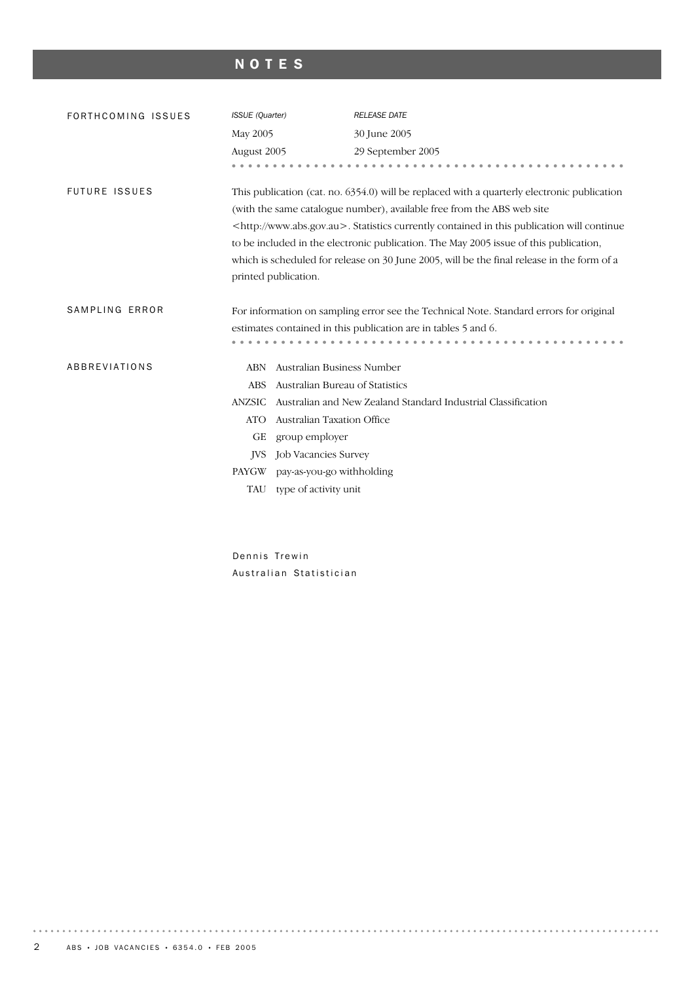# NOTES

| FORTHCOMING ISSUES   | ISSUE (Quarter)                                                                                                                                                                                                                                                                                                                                                                                                                                                                                |                                 | <b>RELEASE DATE</b>                                                                                                                                      |  |  |
|----------------------|------------------------------------------------------------------------------------------------------------------------------------------------------------------------------------------------------------------------------------------------------------------------------------------------------------------------------------------------------------------------------------------------------------------------------------------------------------------------------------------------|---------------------------------|----------------------------------------------------------------------------------------------------------------------------------------------------------|--|--|
|                      | May 2005                                                                                                                                                                                                                                                                                                                                                                                                                                                                                       |                                 | 30 June 2005                                                                                                                                             |  |  |
|                      | August 2005                                                                                                                                                                                                                                                                                                                                                                                                                                                                                    |                                 | 29 September 2005                                                                                                                                        |  |  |
|                      |                                                                                                                                                                                                                                                                                                                                                                                                                                                                                                |                                 |                                                                                                                                                          |  |  |
| <b>FUTURE ISSUES</b> | This publication (cat. no. 6354.0) will be replaced with a quarterly electronic publication<br>(with the same catalogue number), available free from the ABS web site<br><http: www.abs.gov.au="">. Statistics currently contained in this publication will continue<br/>to be included in the electronic publication. The May 2005 issue of this publication,<br/>which is scheduled for release on 30 June 2005, will be the final release in the form of a<br/>printed publication.</http:> |                                 |                                                                                                                                                          |  |  |
| SAMPLING ERROR       |                                                                                                                                                                                                                                                                                                                                                                                                                                                                                                |                                 | For information on sampling error see the Technical Note. Standard errors for original<br>estimates contained in this publication are in tables 5 and 6. |  |  |
| ABBREVIATIONS        | <b>ABN</b>                                                                                                                                                                                                                                                                                                                                                                                                                                                                                     | Australian Business Number      |                                                                                                                                                          |  |  |
|                      | <b>ABS</b>                                                                                                                                                                                                                                                                                                                                                                                                                                                                                     | Australian Bureau of Statistics |                                                                                                                                                          |  |  |
|                      | <b>ANZSIC</b>                                                                                                                                                                                                                                                                                                                                                                                                                                                                                  |                                 | Australian and New Zealand Standard Industrial Classification                                                                                            |  |  |
|                      | <b>ATO</b>                                                                                                                                                                                                                                                                                                                                                                                                                                                                                     | Australian Taxation Office      |                                                                                                                                                          |  |  |
|                      | GЕ                                                                                                                                                                                                                                                                                                                                                                                                                                                                                             | group employer                  |                                                                                                                                                          |  |  |
|                      | <b>IVS</b>                                                                                                                                                                                                                                                                                                                                                                                                                                                                                     | <b>Job Vacancies Survey</b>     |                                                                                                                                                          |  |  |
|                      | PAYGW                                                                                                                                                                                                                                                                                                                                                                                                                                                                                          | pay-as-you-go withholding       |                                                                                                                                                          |  |  |
|                      | TAU                                                                                                                                                                                                                                                                                                                                                                                                                                                                                            | type of activity unit           |                                                                                                                                                          |  |  |
|                      |                                                                                                                                                                                                                                                                                                                                                                                                                                                                                                |                                 |                                                                                                                                                          |  |  |

Dennis Trewin Australian Statistician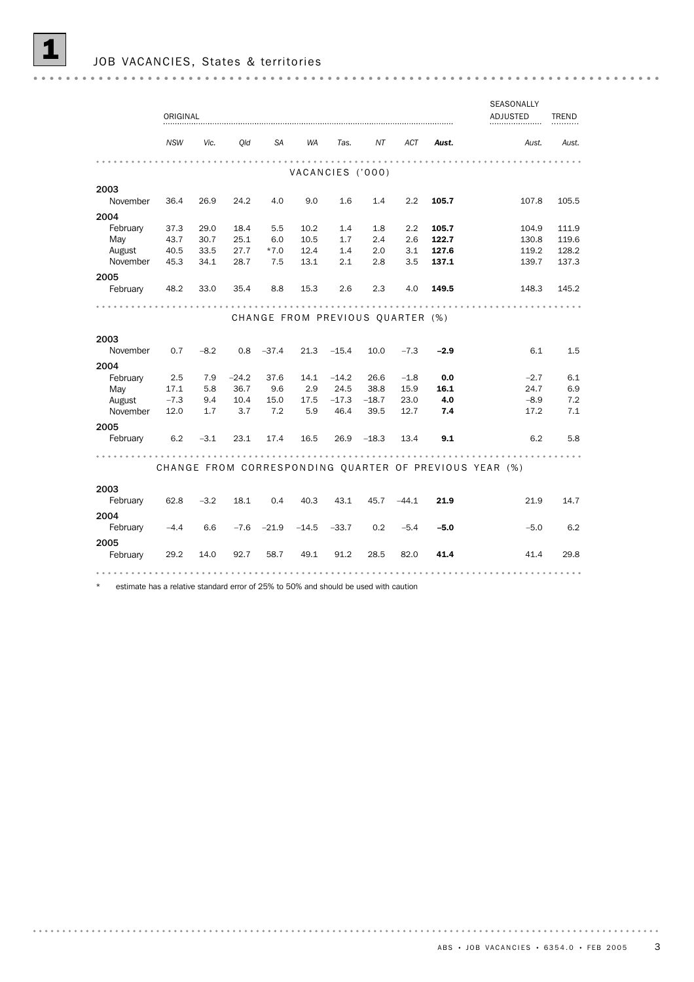|                  | ORIGINAL       |              |              |               |                  |                 |                 |                                  |                | SEASONALLY<br>ADJUSTED                                 | <b>TREND</b>   |
|------------------|----------------|--------------|--------------|---------------|------------------|-----------------|-----------------|----------------------------------|----------------|--------------------------------------------------------|----------------|
|                  | <b>NSW</b>     | Vic.         | Old          | SA            | WA               | Tas.            | ΝT              | ACT                              | Aust.          | Aust.                                                  | Aust.          |
|                  |                |              |              |               | VACANCIES ('000) |                 |                 |                                  |                |                                                        |                |
| 2003             |                |              |              |               |                  |                 |                 |                                  |                |                                                        |                |
| November         | 36.4           | 26.9         | 24.2         | 4.0           | 9.0              | 1.6             | 1.4             | 2.2                              | 105.7          | 107.8                                                  | 105.5          |
| 2004             |                |              |              |               |                  |                 |                 |                                  |                |                                                        |                |
| February         | 37.3           | 29.0         | 18.4         | 5.5           | 10.2             | 1.4<br>1.7      | 1.8<br>2.4      | 2.2                              | 105.7<br>122.7 | 104.9                                                  | 111.9          |
| May<br>August    | 43.7<br>40.5   | 30.7<br>33.5 | 25.1<br>27.7 | 6.0<br>$*7.0$ | 10.5<br>12.4     | 1.4             | 2.0             | 2.6<br>3.1                       | 127.6          | 130.8<br>119.2                                         | 119.6<br>128.2 |
| November         | 45.3           | 34.1         | 28.7         | 7.5           | 13.1             | 2.1             | 2.8             | 3.5                              | 137.1          | 139.7                                                  | 137.3          |
|                  |                |              |              |               |                  |                 |                 |                                  |                |                                                        |                |
| 2005<br>February | 48.2           | 33.0         | 35.4         | 8.8           | 15.3             | 2.6             | 2.3             | 4.0                              | 149.5          | 148.3                                                  | 145.2          |
|                  |                |              |              |               |                  |                 |                 |                                  |                |                                                        |                |
|                  |                |              |              |               |                  |                 |                 | CHANGE FROM PREVIOUS QUARTER (%) |                |                                                        |                |
| 2003             |                |              |              |               |                  |                 |                 |                                  |                |                                                        |                |
| November         | 0.7            | $-8.2$       | 0.8          | $-37.4$       | 21.3             | $-15.4$         | 10.0            | $-7.3$                           | $-2.9$         | 6.1                                                    | 1.5            |
|                  |                |              |              |               |                  |                 |                 |                                  |                |                                                        |                |
| 2004             |                |              |              |               |                  |                 |                 |                                  |                |                                                        |                |
| February         | 2.5            | 7.9          | $-24.2$      | 37.6          | 14.1             | $-14.2$         | 26.6            | $-1.8$                           | 0.0            | $-2.7$                                                 | 6.1            |
| May<br>August    | 17.1<br>$-7.3$ | 5.8          | 36.7<br>10.4 | 9.6<br>15.0   | 2.9<br>17.5      | 24.5<br>$-17.3$ | 38.8<br>$-18.7$ | 15.9<br>23.0                     | 16.1<br>4.0    | 24.7<br>$-8.9$                                         | 6.9<br>7.2     |
| November         | 12.0           | 9.4<br>1.7   | 3.7          | 7.2           | 5.9              | 46.4            | 39.5            | 12.7                             | 7.4            | 17.2                                                   | 7.1            |
|                  |                |              |              |               |                  |                 |                 |                                  |                |                                                        |                |
| 2005             |                |              |              |               |                  |                 |                 |                                  |                |                                                        |                |
| February         | 6.2            | $-3.1$       | 23.1         | 17.4          | 16.5             | 26.9            | $-18.3$         | 13.4                             | 9.1            | 6.2                                                    | 5.8            |
|                  |                |              |              |               |                  |                 |                 |                                  |                |                                                        |                |
|                  |                |              |              |               |                  |                 |                 |                                  |                | CHANGE FROM CORRESPONDING QUARTER OF PREVIOUS YEAR (%) |                |
| 2003             |                |              |              |               |                  |                 |                 |                                  |                |                                                        |                |
| February         | 62.8           | $-3.2$       | 18.1         | 0.4           | 40.3             | 43.1            | 45.7            | $-44.1$                          | 21.9           | 21.9                                                   | 14.7           |
|                  |                |              |              |               |                  |                 |                 |                                  |                |                                                        |                |
| 2004<br>February | $-4.4$         | 6.6          | $-7.6$       | $-21.9$       | $-14.5$          | $-33.7$         | 0.2             | $-5.4$                           | $-5.0$         | $-5.0$                                                 | 6.2            |
|                  |                |              |              |               |                  |                 |                 |                                  |                |                                                        |                |
| 2005<br>February |                |              |              | 58.7          | 49.1             | 91.2            | 28.5            | 82.0                             | 41.4           | 41.4                                                   | 29.8           |
|                  | 29.2           | 14.0         | 92.7         |               |                  |                 |                 |                                  |                |                                                        |                |
|                  |                |              |              |               |                  |                 |                 |                                  |                |                                                        |                |

\* estimate has a relative standard error of 25% to 50% and should be used with caution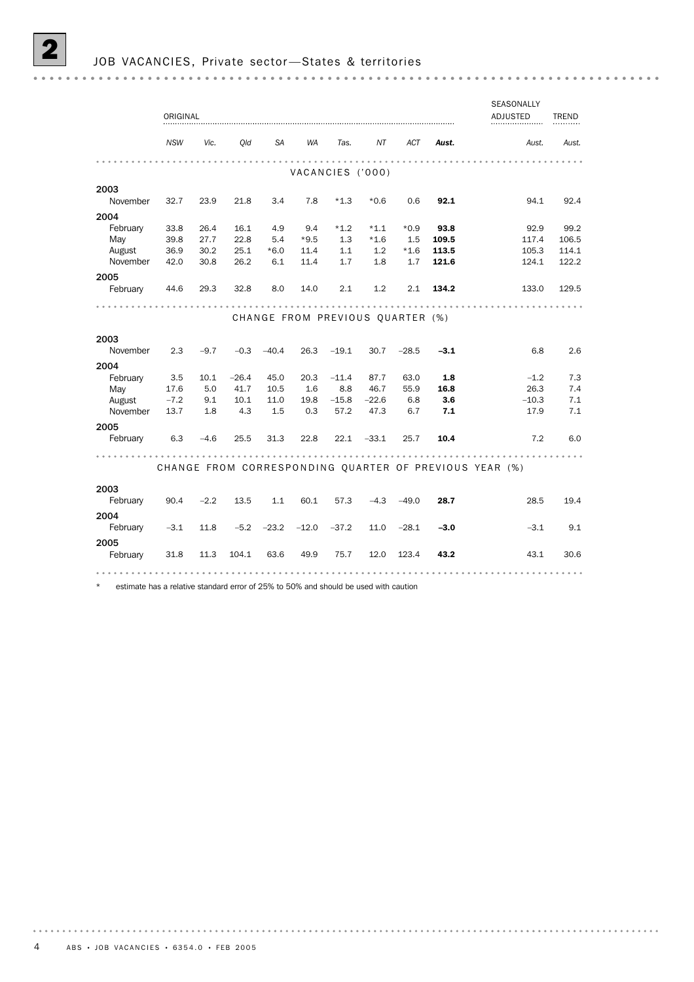SEASONALLY ORIGINAL **ADJUSTED ADJUSTED ADJUSTED ADJUSTED ADJUSTED ADJUSTED ADJUSTED ADJUSTED ADJUSTED ADJUSTED ADJUSTED ADJUSTED ADJUSTED ADJUSTED ADJUSTED ADJUSTED ADJUSTED ADJUSTED ADJUSTED ADJUSTED ADJUSTED ADJUSTED ADJUSTED ADJUS** ADJUSTED TREND *NSW Vic. Qld SA WA Tas. NT ACT Aust. Aust. Aust.* VACANCIES ('000) 2003 November 32.7 23.9 21.8 3.4 7.8 \*1.3 \*0.6 0.6 92.1 94.1 92.4 2004 February 33.8 26.4 16.1 4.9 9.4 \*1.2 \*1.1 \*0.9 93.8 92.9 99.2 May 39.8 27.7 22.8 5.4 \*9.5 1.3 \*1.6 1.5 109.5 117.4 106.5 August 36.9 30.2 25.1 \*6.0 11.4 1.1 1.2 \*1.6 113.5 105.3 114.1 November 42.0 30.8 26.2 6.1 11.4 1.7 1.8 1.7 **121.6** 124.1 122.2 2005 February 44.6 29.3 32.8 8.0 14.0 2.1 1.2 2.1 134.2 133.0 129.5 CHANGE FROM PREVIOUS QUARTER (%) 2003 November 2.3 –9.7 –0.3 –40.4 26.3 –19.1 30.7 –28.5 **–3.1** 6.8 2.6 2004 February 3.5 10.1 –26.4 45.0 20.3 –11.4 87.7 63.0 **1.8** –1.2 7.3 May 17.6 5.0 41.7 10.5 1.6 8.8 46.7 55.9 16.8 26.3 7.4 10.8 10.8 1.1 1.1 1.1 1.1 1.0 0.6 40.7 1.8 10.8 10.8 10.3 7.4<br>August -7.2 9.1 10.1 11.0 19.8 -15.8 -22.6 6.8 3.6 -10.3 7.1<br>November 13.7 1.8 4.3 1.5 0.3 57.2 47.3 6.7 7.1 17.9 7.1 August –7.2 9.1 10.1 11.0 19.8 –15.8 –22.6 6.8 3.6 –10.3 7.1 2005 February 6.3 –4.6 25.5 31.3 22.8 22.1 –33.1 25.7 10.4 7.2 6.0 . . . . . . . . . . . . CHANGE FROM CORRESPONDING OUARTER OF PREVIOUS YEAR (%) 2003 February 90.4 –2.2 13.5 1.1 60.1 57.3 –4.3 –49.0 28.7 28.5 19.4 2004 February –3.1 11.8 –5.2 –23.2 –12.0 –37.2 11.0 –28.1 –3.0 –3.1 9.1 2005 February 31.8 11.3 104.1 63.6 49.9 75.7 12.0 123.4 43.2 43.1 30.6 

estimate has a relative standard error of 25% to 50% and should be used with caution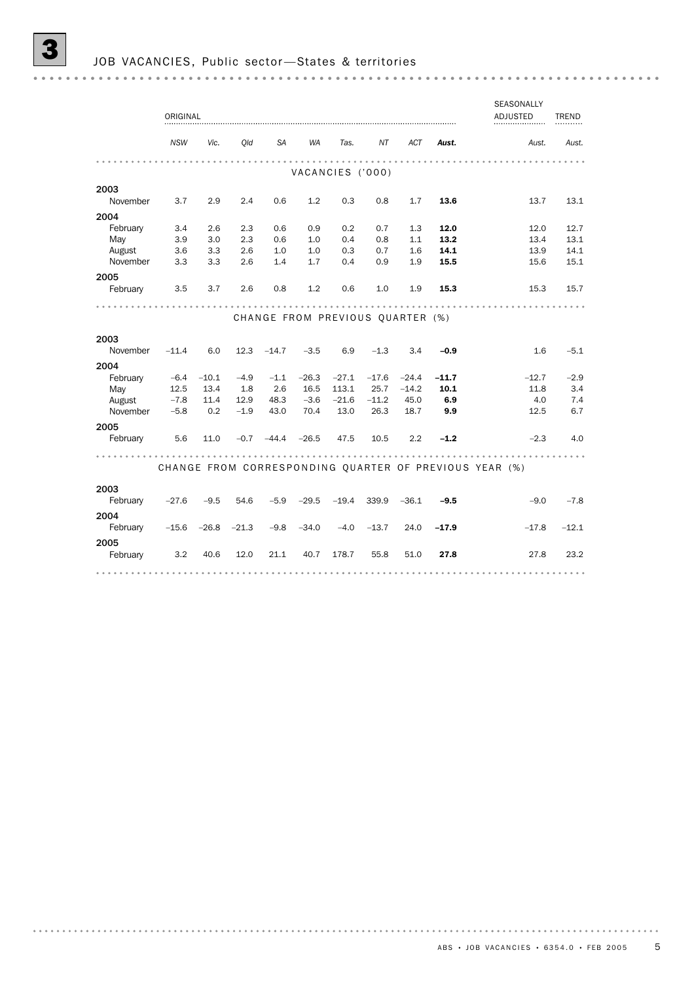SEASONALLY ORIGINAL ADJUSTED ADJUSTED TREND *NSW Vic. Qld SA WA Tas. NT ACT Aust. Aust. Aust.* VACANCIES ('000) 2003 November 3.7 2.9 2.4 0.6 1.2 0.3 0.8 1.7 13.6 13.7 13.1 2004 February 3.4 2.6 2.3 0.6 0.9 0.2 0.7 1.3 12.0 12.0 12.7 May 3.9 3.0 2.3 0.6 1.0 0.4 0.8 1.1 **13.2** 13.4 13.1 August 3.6 3.3 2.6 1.0 1.0 0.3 0.7 1.6 **14.1** 13.9 14.1<br>November 3.3 3.3 2.6 1.4 1.7 0.4 0.9 1.9 **15.5** 15.6 15.1 August 3.6 3.3 2.6 1.0 1.0 0.3 0.7 1.6 **14.1** 13.9 2005 February 3.5 3.7 2.6 0.8 1.2 0.6 1.0 1.9 15.3 15.3 15.7 CHANGE FROM PREVIOUS OUARTER (%) 2003 November –11.4 6.0 12.3 –14.7 –3.5 6.9 –1.3 3.4 **–0.9** 1.6 –5.1 2004 February -6.4 -10.1 -4.9 -1.1 -26.3 -27.1 -17.6 -24.4 -11.7 -12.7 -2.9 May 12.5 13.4 1.8 2.6 16.5 113.1 25.7 -14.2 **10.1** 11.8 3.4<br>August -7.8 11.4 12.9 48.3 -3.6 -21.6 -11.2 45.0 6.9 1.0 7.4 August –7.8 11.4 12.9 48.3 –3.6 –21.6 –11.2 45.0 **6.9** 4.0 7.4 November –5.8 0.2 –1.9 43.0 70.4 13.0 26.3 18.7 **9.9** 12.5 6.7 2005 February 5.6 11.0 -0.7 -44.4 -26.5 47.5 10.5 2.2 -1.2 -2.3 4.0 . . . . . . . . . . . . CHANGE FROM CORRESPONDING QUARTER OF PREVIOUS YEAR (%) 2003 February –27.6 –9.5 54.6 –5.9 –29.5 –19.4 339.9 –36.1 –9.5 –9.0 –7.8 2004 February –15.6 –26.8 –21.3 –9.8 –34.0 –4.0 –13.7 24.0 –17.9 –17.8 –12.1 2005 February 3.2 40.6 12.0 21.1 40.7 178.7 55.8 51.0 27.8 27.8 23.2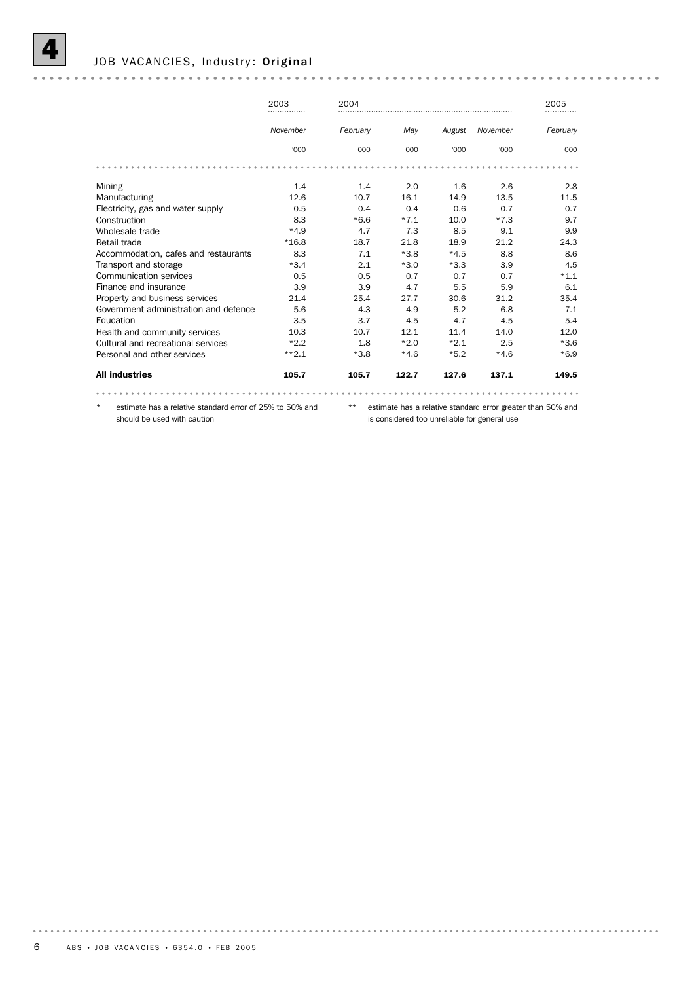

#### JOB VACANCIES, Industry: Original

|                                       | 2003            | 2004     |        |        |          | 2005     |
|---------------------------------------|-----------------|----------|--------|--------|----------|----------|
|                                       | November        | February | May    | August | November | February |
|                                       | '000            | '000     | '000   | '000   | '000     | '000     |
|                                       |                 |          |        |        |          |          |
| Mining                                | 1.4             | 1.4      | 2.0    | 1.6    | 2.6      | 2.8      |
| Manufacturing                         | 12.6            | 10.7     | 16.1   | 14.9   | 13.5     | 11.5     |
| Electricity, gas and water supply     | 0.5             | 0.4      | 0.4    | 0.6    | 0.7      | 0.7      |
| Construction                          | 8.3             | $*6.6$   | $*7.1$ | 10.0   | $*7.3$   | 9.7      |
| Wholesale trade                       | $*4.9$          | 4.7      | 7.3    | 8.5    | 9.1      | 9.9      |
| Retail trade                          | $*16.8$         | 18.7     | 21.8   | 18.9   | 21.2     | 24.3     |
| Accommodation, cafes and restaurants  | 8.3             | 7.1      | $*3.8$ | $*4.5$ | 8.8      | 8.6      |
| Transport and storage                 | $*3.4$          | 2.1      | $*3.0$ | $*3.3$ | 3.9      | 4.5      |
| Communication services                | 0.5             | 0.5      | 0.7    | 0.7    | 0.7      | $*1.1$   |
| Finance and insurance                 | 3.9             | 3.9      | 4.7    | 5.5    | 5.9      | 6.1      |
| Property and business services        | 21.4            | 25.4     | 27.7   | 30.6   | 31.2     | 35.4     |
| Government administration and defence | 5.6             | 4.3      | 4.9    | 5.2    | 6.8      | 7.1      |
| Education                             | 3.5             | 3.7      | 4.5    | 4.7    | 4.5      | 5.4      |
| Health and community services         | 10.3            | 10.7     | 12.1   | 11.4   | 14.0     | 12.0     |
| Cultural and recreational services    | $*2.2$          | 1.8      | $*2.0$ | $*2.1$ | 2.5      | $*3.6$   |
| Personal and other services           | $***2.1$        | $*3.8$   | $*4.6$ | $*5.2$ | $*4.6$   | $*6.9$   |
| <b>All industries</b>                 | 105.7           | 105.7    | 122.7  | 127.6  | 137.1    | 149.5    |
|                                       |                 |          |        |        |          |          |
|                                       | $0.0001 + 0.01$ |          |        |        |          |          |

estimate has a relative standard error of 25% to 50% and should be used with caution

\*\* estimate has a relative standard error greater than 50% and is considered too unreliable for general use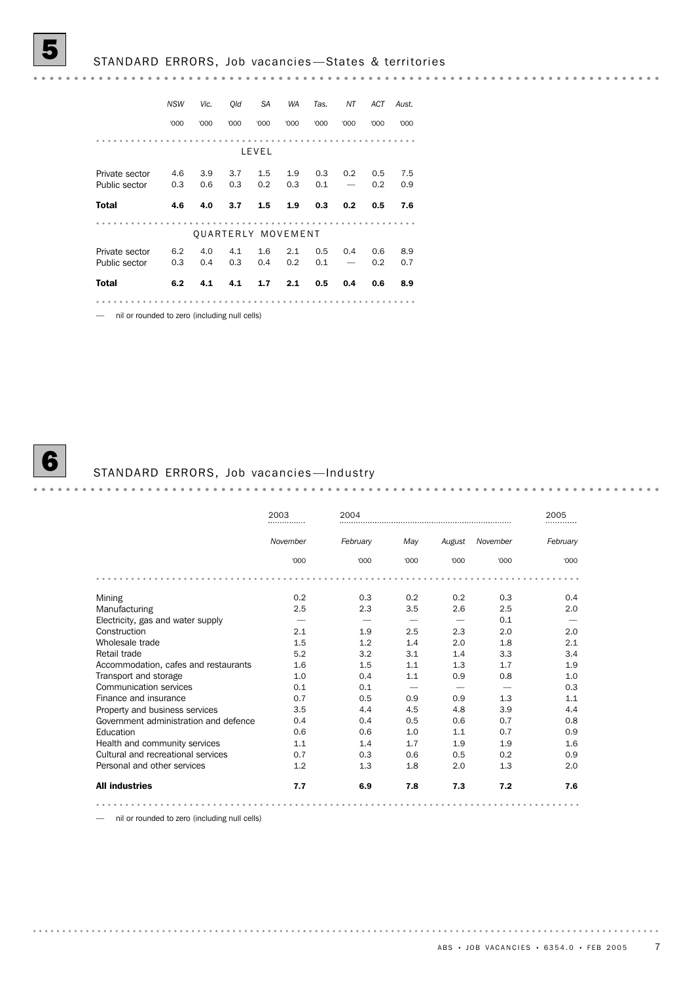|                | <b>NSW</b> | Vic. | Old  | <b>SA</b> | <b>WA</b>                 | Tas. | ΝT   | ACT  | Aust. |
|----------------|------------|------|------|-----------|---------------------------|------|------|------|-------|
|                | '000       | '000 | '000 | '000      | '000                      | '000 | '000 | '000 | '000  |
|                |            |      |      |           |                           |      |      |      |       |
|                |            |      |      | LEVEL     |                           |      |      |      |       |
|                |            |      |      |           |                           |      |      |      |       |
| Private sector | 4.6        | 3.9  | 3.7  | 1.5       | 1.9                       | 0.3  | 0.2  | 0.5  | 7.5   |
| Public sector  | 0.3        | 0.6  | 0.3  | 0.2       | 0.3                       | 0.1  |      | 0.2  | 0.9   |
|                |            |      |      |           |                           |      |      |      |       |
| <b>Total</b>   | 4.6        | 4.0  | 3.7  | 1.5       | 1.9                       | 0.3  | 0.2  | 0.5  | 7.6   |
|                |            |      |      |           |                           |      |      |      |       |
|                |            |      |      |           | <b>OUARTERLY MOVEMENT</b> |      |      |      |       |
| Private sector | 6.2        | 4.0  | 4.1  | 1.6       | 2.1                       | 0.5  | 0.4  | 0.6  | 8.9   |
| Public sector  | 0.3        | 0.4  | 0.3  | 0.4       | 0.2                       | 0.1  |      | 0.2  | 0.7   |
| <b>Total</b>   | 6.2        | 4.1  | 4.1  | 1.7       | 2.1                       | 0.5  | 0.4  | 0.6  | 8.9   |
|                |            |      |      |           |                           |      |      |      |       |
|                |            |      |      |           |                           |      |      |      |       |

— nil or rounded to zero (including null cells)



# **6** STANDARD ERRORS, Job vacancies — Industry

|                                       | 2003<br> | 2004     |      |        |          | 2005     |
|---------------------------------------|----------|----------|------|--------|----------|----------|
|                                       | November | February | May  | August | November | February |
|                                       | '000     | '000     | '000 | '000   | '000     | '000     |
|                                       |          |          |      |        |          |          |
| Mining                                | 0.2      | 0.3      | 0.2  | 0.2    | 0.3      | 0.4      |
| Manufacturing                         | 2.5      | 2.3      | 3.5  | 2.6    | 2.5      | 2.0      |
| Electricity, gas and water supply     |          |          |      |        | 0.1      |          |
| Construction                          | 2.1      | 1.9      | 2.5  | 2.3    | 2.0      | 2.0      |
| Wholesale trade                       | 1.5      | 1.2      | 1.4  | 2.0    | 1.8      | 2.1      |
| Retail trade                          | 5.2      | 3.2      | 3.1  | 1.4    | 3.3      | 3.4      |
| Accommodation, cafes and restaurants  | 1.6      | 1.5      | 1.1  | 1.3    | 1.7      | 1.9      |
| Transport and storage                 | 1.0      | 0.4      | 1.1  | 0.9    | 0.8      | 1.0      |
| Communication services                | 0.1      | 0.1      |      |        |          | 0.3      |
| Finance and insurance                 | 0.7      | 0.5      | 0.9  | 0.9    | 1.3      | 1.1      |
| Property and business services        | 3.5      | 4.4      | 4.5  | 4.8    | 3.9      | 4.4      |
| Government administration and defence | 0.4      | 0.4      | 0.5  | 0.6    | 0.7      | 0.8      |
| Education                             | 0.6      | 0.6      | 1.0  | 1.1    | 0.7      | 0.9      |
| Health and community services         | 1.1      | 1.4      | 1.7  | 1.9    | 1.9      | 1.6      |
| Cultural and recreational services    | 0.7      | 0.3      | 0.6  | 0.5    | 0.2      | 0.9      |
| Personal and other services           | 1.2      | 1.3      | 1.8  | 2.0    | 1.3      | 2.0      |
| <b>All industries</b>                 | 7.7      | 6.9      | 7.8  | 7.3    | 7.2      | 7.6      |
|                                       |          |          |      |        |          |          |

— nil or rounded to zero (including null cells)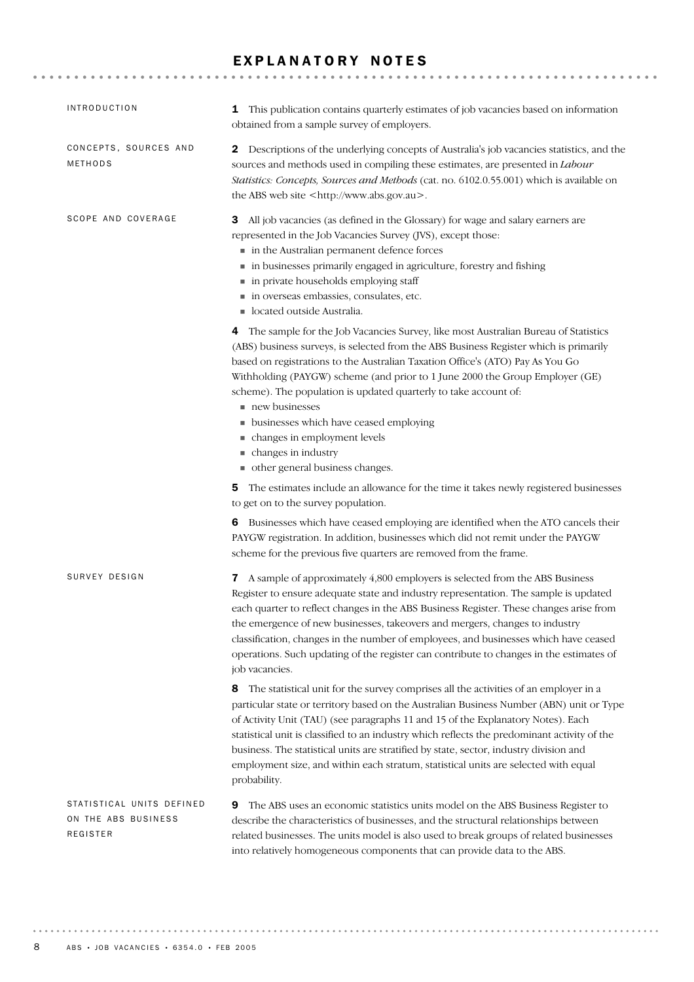#### EXPLANATORY NOTES

| <b>INTRODUCTION</b>                                          | This publication contains quarterly estimates of job vacancies based on information<br>1<br>obtained from a sample survey of employers.                                                                                                                                                                                                                                                                                                                                                                                                                                    |
|--------------------------------------------------------------|----------------------------------------------------------------------------------------------------------------------------------------------------------------------------------------------------------------------------------------------------------------------------------------------------------------------------------------------------------------------------------------------------------------------------------------------------------------------------------------------------------------------------------------------------------------------------|
| CONCEPTS, SOURCES AND<br>METHODS                             | 2 Descriptions of the underlying concepts of Australia's job vacancies statistics, and the<br>sources and methods used in compiling these estimates, are presented in Labour<br>Statistics: Concepts, Sources and Methods (cat. no. 6102.0.55.001) which is available on<br>the ABS web site <http: www.abs.gov.au="">.</http:>                                                                                                                                                                                                                                            |
| SCOPE AND COVERAGE                                           | All job vacancies (as defined in the Glossary) for wage and salary earners are<br>3<br>represented in the Job Vacancies Survey (JVS), except those:<br>in the Australian permanent defence forces<br>in businesses primarily engaged in agriculture, forestry and fishing<br>in private households employing staff<br>in overseas embassies, consulates, etc.<br>located outside Australia.                                                                                                                                                                                |
|                                                              | 4 The sample for the Job Vacancies Survey, like most Australian Bureau of Statistics<br>(ABS) business surveys, is selected from the ABS Business Register which is primarily<br>based on registrations to the Australian Taxation Office's (ATO) Pay As You Go<br>Withholding (PAYGW) scheme (and prior to 1 June 2000 the Group Employer (GE)<br>scheme). The population is updated quarterly to take account of:<br>new businesses                                                                                                                                      |
|                                                              | • businesses which have ceased employing<br>• changes in employment levels<br>• changes in industry<br>ther general business changes.                                                                                                                                                                                                                                                                                                                                                                                                                                      |
|                                                              | The estimates include an allowance for the time it takes newly registered businesses<br>5<br>to get on to the survey population.                                                                                                                                                                                                                                                                                                                                                                                                                                           |
|                                                              | 6 Businesses which have ceased employing are identified when the ATO cancels their<br>PAYGW registration. In addition, businesses which did not remit under the PAYGW<br>scheme for the previous five quarters are removed from the frame.                                                                                                                                                                                                                                                                                                                                 |
| SURVEY DESIGN                                                | 7 A sample of approximately 4,800 employers is selected from the ABS Business<br>Register to ensure adequate state and industry representation. The sample is updated<br>each quarter to reflect changes in the ABS Business Register. These changes arise from<br>the emergence of new businesses, takeovers and mergers, changes to industry<br>classification, changes in the number of employees, and businesses which have ceased<br>operations. Such updating of the register can contribute to changes in the estimates of<br>job vacancies.                        |
|                                                              | The statistical unit for the survey comprises all the activities of an employer in a<br>8<br>particular state or territory based on the Australian Business Number (ABN) unit or Type<br>of Activity Unit (TAU) (see paragraphs 11 and 15 of the Explanatory Notes). Each<br>statistical unit is classified to an industry which reflects the predominant activity of the<br>business. The statistical units are stratified by state, sector, industry division and<br>employment size, and within each stratum, statistical units are selected with equal<br>probability. |
| STATISTICAL UNITS DEFINED<br>ON THE ABS BUSINESS<br>REGISTER | The ABS uses an economic statistics units model on the ABS Business Register to<br>9<br>describe the characteristics of businesses, and the structural relationships between<br>related businesses. The units model is also used to break groups of related businesses<br>into relatively homogeneous components that can provide data to the ABS.                                                                                                                                                                                                                         |

. . . . . . . . .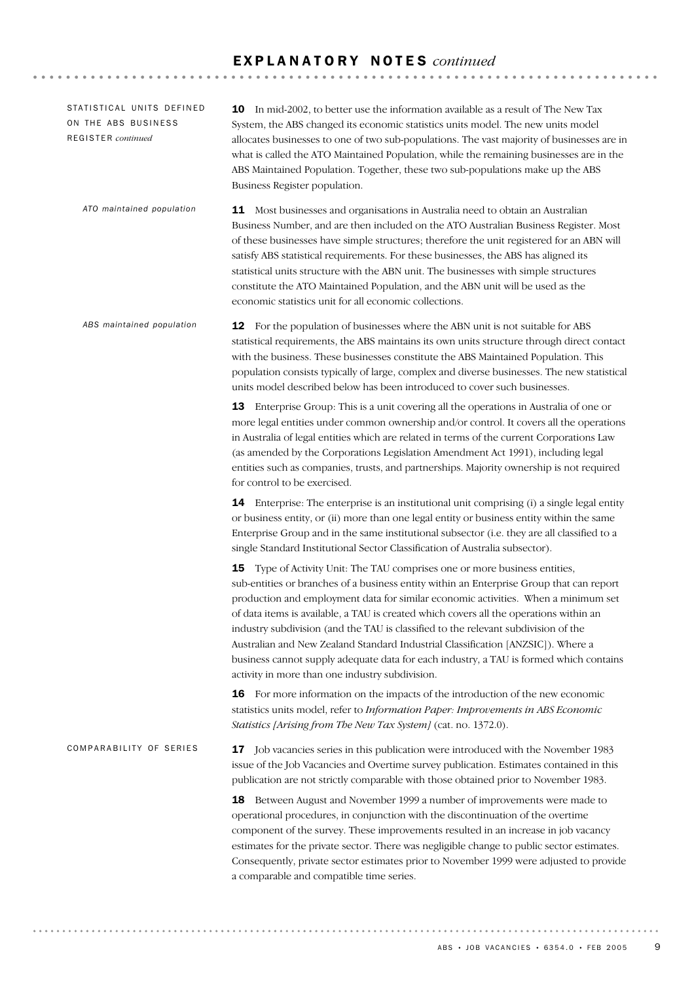#### E X P L A N A T O R Y N O T E S *continued*

| STATISTICAL UNITS DEFINED<br>ON THE ABS BUSINESS<br>REGISTER continued | 10 In mid-2002, to better use the information available as a result of The New Tax<br>System, the ABS changed its economic statistics units model. The new units model<br>allocates businesses to one of two sub-populations. The vast majority of businesses are in<br>what is called the ATO Maintained Population, while the remaining businesses are in the<br>ABS Maintained Population. Together, these two sub-populations make up the ABS<br>Business Register population.                                                                                                                                                                                               |
|------------------------------------------------------------------------|----------------------------------------------------------------------------------------------------------------------------------------------------------------------------------------------------------------------------------------------------------------------------------------------------------------------------------------------------------------------------------------------------------------------------------------------------------------------------------------------------------------------------------------------------------------------------------------------------------------------------------------------------------------------------------|
| ATO maintained population                                              | <b>11</b> Most businesses and organisations in Australia need to obtain an Australian<br>Business Number, and are then included on the ATO Australian Business Register. Most<br>of these businesses have simple structures; therefore the unit registered for an ABN will<br>satisfy ABS statistical requirements. For these businesses, the ABS has aligned its<br>statistical units structure with the ABN unit. The businesses with simple structures<br>constitute the ATO Maintained Population, and the ABN unit will be used as the<br>economic statistics unit for all economic collections.                                                                            |
| ABS maintained population                                              | 12 For the population of businesses where the ABN unit is not suitable for ABS<br>statistical requirements, the ABS maintains its own units structure through direct contact<br>with the business. These businesses constitute the ABS Maintained Population. This<br>population consists typically of large, complex and diverse businesses. The new statistical<br>units model described below has been introduced to cover such businesses.                                                                                                                                                                                                                                   |
|                                                                        | <b>13</b> Enterprise Group: This is a unit covering all the operations in Australia of one or<br>more legal entities under common ownership and/or control. It covers all the operations<br>in Australia of legal entities which are related in terms of the current Corporations Law<br>(as amended by the Corporations Legislation Amendment Act 1991), including legal<br>entities such as companies, trusts, and partnerships. Majority ownership is not required<br>for control to be exercised.                                                                                                                                                                            |
|                                                                        | <b>14</b> Enterprise: The enterprise is an institutional unit comprising (i) a single legal entity<br>or business entity, or (ii) more than one legal entity or business entity within the same<br>Enterprise Group and in the same institutional subsector (i.e. they are all classified to a<br>single Standard Institutional Sector Classification of Australia subsector).                                                                                                                                                                                                                                                                                                   |
|                                                                        | Type of Activity Unit: The TAU comprises one or more business entities,<br>15<br>sub-entities or branches of a business entity within an Enterprise Group that can report<br>production and employment data for similar economic activities. When a minimum set<br>of data items is available, a TAU is created which covers all the operations within an<br>industry subdivision (and the TAU is classified to the relevant subdivision of the<br>Australian and New Zealand Standard Industrial Classification [ANZSIC]). Where a<br>business cannot supply adequate data for each industry, a TAU is formed which contains<br>activity in more than one industry subdivision. |
|                                                                        | 16 For more information on the impacts of the introduction of the new economic<br>statistics units model, refer to Information Paper: Improvements in ABS Economic<br>Statistics [Arising from The New Tax System] (cat. no. 1372.0).                                                                                                                                                                                                                                                                                                                                                                                                                                            |
| COMPARABILITY OF SERIES                                                | 17 Job vacancies series in this publication were introduced with the November 1983<br>issue of the Job Vacancies and Overtime survey publication. Estimates contained in this<br>publication are not strictly comparable with those obtained prior to November 1983.                                                                                                                                                                                                                                                                                                                                                                                                             |
|                                                                        | 18 Between August and November 1999 a number of improvements were made to<br>operational procedures, in conjunction with the discontinuation of the overtime<br>component of the survey. These improvements resulted in an increase in job vacancy<br>estimates for the private sector. There was negligible change to public sector estimates.<br>Consequently, private sector estimates prior to November 1999 were adjusted to provide<br>a comparable and compatible time series.                                                                                                                                                                                            |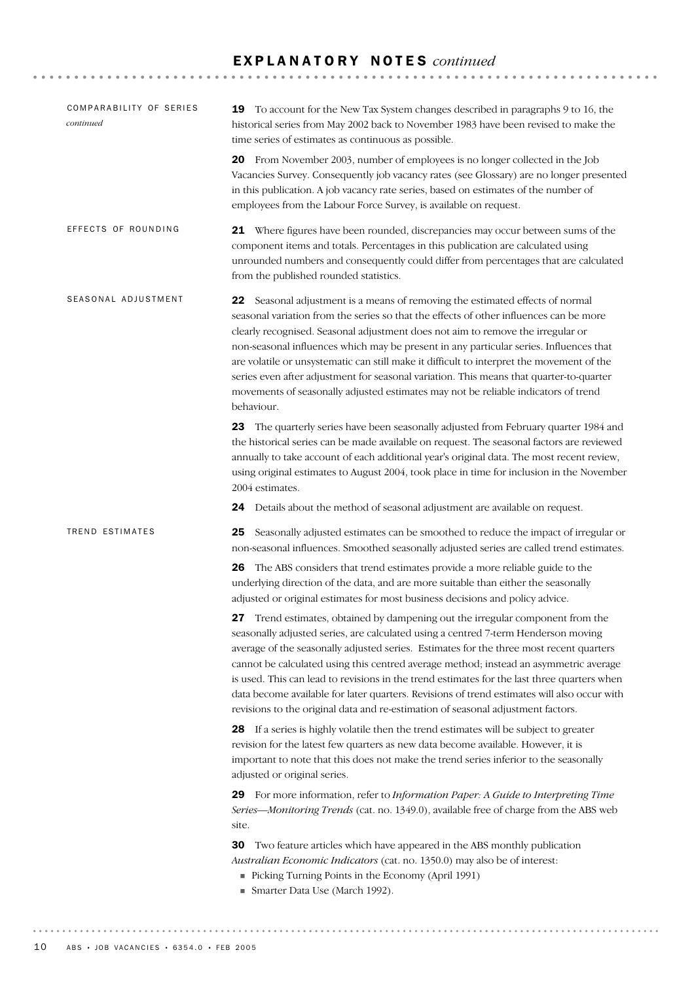#### E X P L A N A T O R Y N O T E S *continued*

| COMPARABILITY OF SERIES<br>continued | <b>19</b> To account for the New Tax System changes described in paragraphs 9 to 16, the<br>historical series from May 2002 back to November 1983 have been revised to make the<br>time series of estimates as continuous as possible.                                                                                                                                                                                                                                                                                                                                                                                                              |
|--------------------------------------|-----------------------------------------------------------------------------------------------------------------------------------------------------------------------------------------------------------------------------------------------------------------------------------------------------------------------------------------------------------------------------------------------------------------------------------------------------------------------------------------------------------------------------------------------------------------------------------------------------------------------------------------------------|
|                                      | 20 From November 2003, number of employees is no longer collected in the Job<br>Vacancies Survey. Consequently job vacancy rates (see Glossary) are no longer presented<br>in this publication. A job vacancy rate series, based on estimates of the number of<br>employees from the Labour Force Survey, is available on request.                                                                                                                                                                                                                                                                                                                  |
| EFFECTS OF ROUNDING                  | 21 Where figures have been rounded, discrepancies may occur between sums of the<br>component items and totals. Percentages in this publication are calculated using<br>unrounded numbers and consequently could differ from percentages that are calculated<br>from the published rounded statistics.                                                                                                                                                                                                                                                                                                                                               |
| SEASONAL ADJUSTMENT                  | Seasonal adjustment is a means of removing the estimated effects of normal<br>22<br>seasonal variation from the series so that the effects of other influences can be more<br>clearly recognised. Seasonal adjustment does not aim to remove the irregular or<br>non-seasonal influences which may be present in any particular series. Influences that<br>are volatile or unsystematic can still make it difficult to interpret the movement of the<br>series even after adjustment for seasonal variation. This means that quarter-to-quarter<br>movements of seasonally adjusted estimates may not be reliable indicators of trend<br>behaviour. |
|                                      | 23 The quarterly series have been seasonally adjusted from February quarter 1984 and<br>the historical series can be made available on request. The seasonal factors are reviewed<br>annually to take account of each additional year's original data. The most recent review,<br>using original estimates to August 2004, took place in time for inclusion in the November<br>2004 estimates.                                                                                                                                                                                                                                                      |
|                                      | Details about the method of seasonal adjustment are available on request.<br>24                                                                                                                                                                                                                                                                                                                                                                                                                                                                                                                                                                     |
| <b>TREND ESTIMATES</b>               | 25<br>Seasonally adjusted estimates can be smoothed to reduce the impact of irregular or<br>non-seasonal influences. Smoothed seasonally adjusted series are called trend estimates.                                                                                                                                                                                                                                                                                                                                                                                                                                                                |
|                                      | The ABS considers that trend estimates provide a more reliable guide to the<br>26<br>underlying direction of the data, and are more suitable than either the seasonally<br>adjusted or original estimates for most business decisions and policy advice.                                                                                                                                                                                                                                                                                                                                                                                            |
|                                      | <b>27</b> Trend estimates, obtained by dampening out the irregular component from the<br>seasonally adjusted series, are calculated using a centred 7-term Henderson moving<br>average of the seasonally adjusted series. Estimates for the three most recent quarters<br>cannot be calculated using this centred average method; instead an asymmetric average<br>is used. This can lead to revisions in the trend estimates for the last three quarters when<br>data become available for later quarters. Revisions of trend estimates will also occur with<br>revisions to the original data and re-estimation of seasonal adjustment factors.   |
|                                      | 28 If a series is highly volatile then the trend estimates will be subject to greater<br>revision for the latest few quarters as new data become available. However, it is<br>important to note that this does not make the trend series inferior to the seasonally<br>adjusted or original series.                                                                                                                                                                                                                                                                                                                                                 |
|                                      | 29 For more information, refer to Information Paper: A Guide to Interpreting Time<br>Series-Monitoring Trends (cat. no. 1349.0), available free of charge from the ABS web<br>site.                                                                                                                                                                                                                                                                                                                                                                                                                                                                 |
|                                      | 30<br>Two feature articles which have appeared in the ABS monthly publication<br>Australian Economic Indicators (cat. no. 1350.0) may also be of interest:<br>Picking Turning Points in the Economy (April 1991)<br>Smarter Data Use (March 1992).                                                                                                                                                                                                                                                                                                                                                                                                  |
|                                      |                                                                                                                                                                                                                                                                                                                                                                                                                                                                                                                                                                                                                                                     |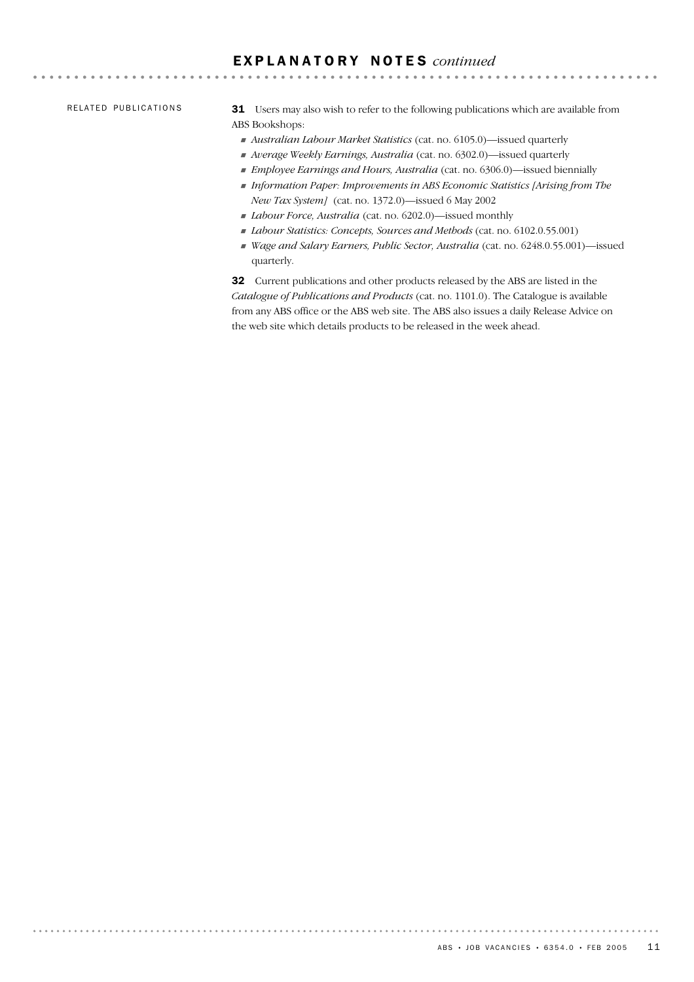#### E X P L A N A T O R Y N O T E S *continued*

RELATED PUBLICATIONS

31 Users may also wish to refer to the following publications which are available from ABS Bookshops:

- ! *Australian Labour Market Statistics* (cat. no. 6105.0)—issued quarterly
- ! *Average Weekly Earnings, Australia* (cat. no. 6302.0)—issued quarterly
- ! *Employee Earnings and Hours, Australia* (cat. no. 6306.0)—issued biennially
- ! *Information Paper: Improvements in ABS Economic Statistics [Arising from The New Tax System]* (cat. no. 1372.0)—issued 6 May 2002
- ! *Labour Force, Australia* (cat. no. 6202.0)—issued monthly
- ! *Labour Statistics: Concepts, Sources and Methods* (cat. no. 6102.0.55.001)
- ! *Wage and Salary Earners, Public Sector, Australia* (cat. no. 6248.0.55.001)—issued quarterly.

32 Current publications and other products released by the ABS are listed in the *Catalogue of Publications and Products* (cat. no. 1101.0). The Catalogue is available from any ABS office or the ABS web site. The ABS also issues a daily Release Advice on the web site which details products to be released in the week ahead.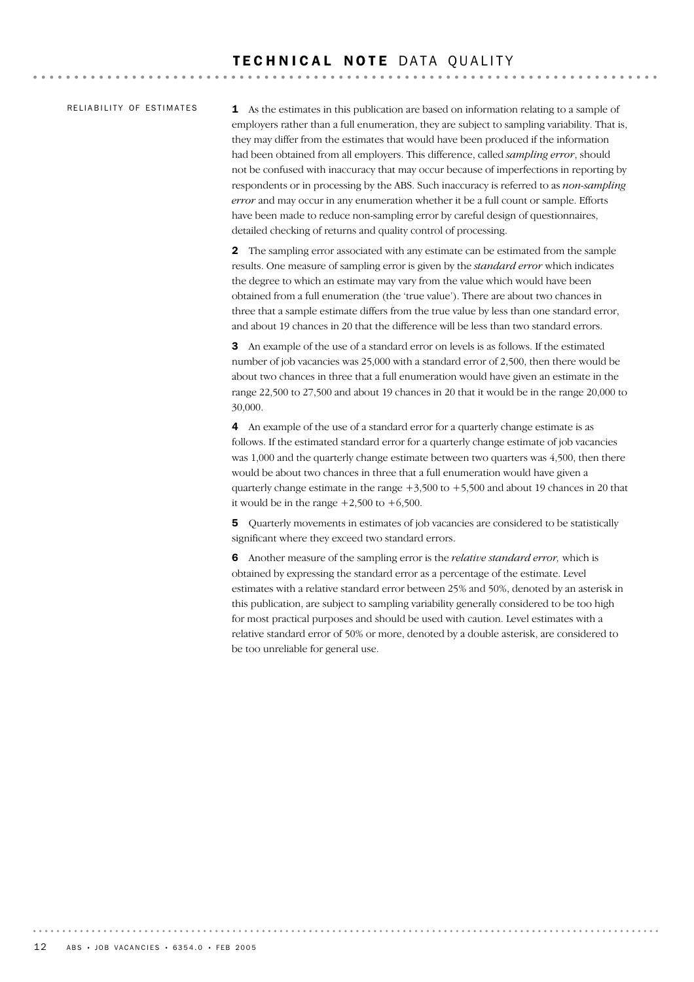#### RELIABILITY OF ESTIMATES

1 As the estimates in this publication are based on information relating to a sample of employers rather than a full enumeration, they are subject to sampling variability. That is, they may differ from the estimates that would have been produced if the information had been obtained from all employers. This difference, called *sampling error*, should not be confused with inaccuracy that may occur because of imperfections in reporting by respondents or in processing by the ABS. Such inaccuracy is referred to as *non-sampling error* and may occur in any enumeration whether it be a full count or sample. Efforts have been made to reduce non-sampling error by careful design of questionnaires, detailed checking of returns and quality control of processing.

2 The sampling error associated with any estimate can be estimated from the sample results. One measure of sampling error is given by the *standard error* which indicates the degree to which an estimate may vary from the value which would have been obtained from a full enumeration (the 'true value'). There are about two chances in three that a sample estimate differs from the true value by less than one standard error, and about 19 chances in 20 that the difference will be less than two standard errors.

3 An example of the use of a standard error on levels is as follows. If the estimated number of job vacancies was 25,000 with a standard error of 2,500, then there would be about two chances in three that a full enumeration would have given an estimate in the range 22,500 to 27,500 and about 19 chances in 20 that it would be in the range 20,000 to 30,000.

4 An example of the use of a standard error for a quarterly change estimate is as follows. If the estimated standard error for a quarterly change estimate of job vacancies was 1,000 and the quarterly change estimate between two quarters was 4,500, then there would be about two chances in three that a full enumeration would have given a quarterly change estimate in the range  $+3,500$  to  $+5,500$  and about 19 chances in 20 that it would be in the range  $+2,500$  to  $+6,500$ .

5 Quarterly movements in estimates of job vacancies are considered to be statistically significant where they exceed two standard errors.

6 Another measure of the sampling error is the *relative standard error,* which is obtained by expressing the standard error as a percentage of the estimate. Level estimates with a relative standard error between 25% and 50%, denoted by an asterisk in this publication, are subject to sampling variability generally considered to be too high for most practical purposes and should be used with caution. Level estimates with a relative standard error of 50% or more, denoted by a double asterisk, are considered to be too unreliable for general use.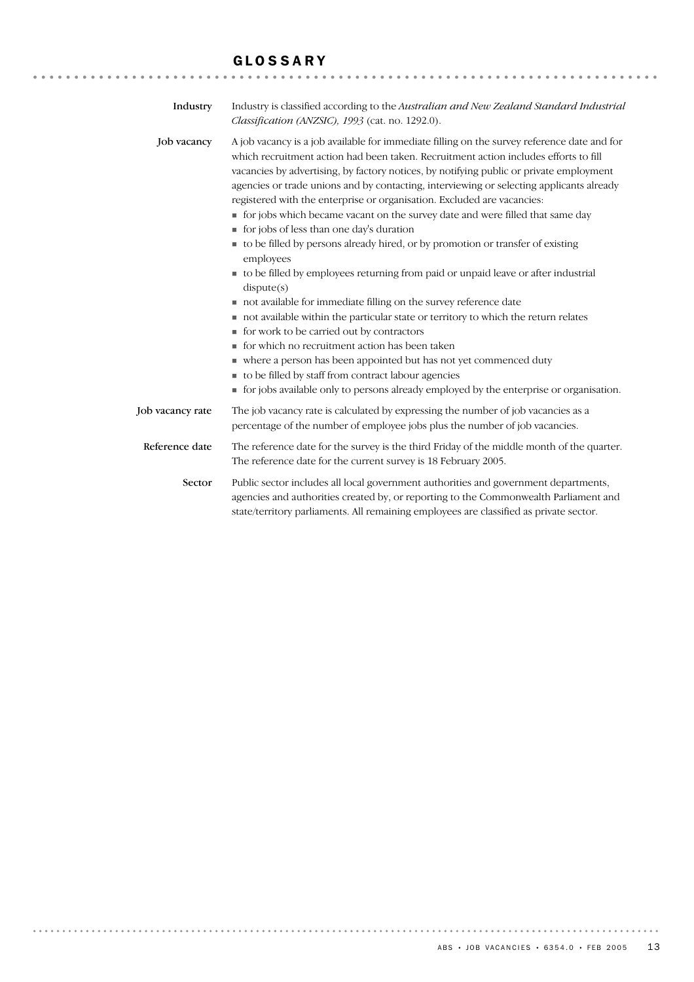#### GLOSSARY

| Industry         | Industry is classified according to the Australian and New Zealand Standard Industrial<br>Classification (ANZSIC), 1993 (cat. no. 1292.0).                                                                                                                                                                                                                                                                                                                                                                                                                                                                                                                                                                                                                                                                                                                                                                                                                                                                                                                                                                                                                                                                                                                               |
|------------------|--------------------------------------------------------------------------------------------------------------------------------------------------------------------------------------------------------------------------------------------------------------------------------------------------------------------------------------------------------------------------------------------------------------------------------------------------------------------------------------------------------------------------------------------------------------------------------------------------------------------------------------------------------------------------------------------------------------------------------------------------------------------------------------------------------------------------------------------------------------------------------------------------------------------------------------------------------------------------------------------------------------------------------------------------------------------------------------------------------------------------------------------------------------------------------------------------------------------------------------------------------------------------|
| Job vacancy      | A job vacancy is a job available for immediate filling on the survey reference date and for<br>which recruitment action had been taken. Recruitment action includes efforts to fill<br>vacancies by advertising, by factory notices, by notifying public or private employment<br>agencies or trade unions and by contacting, interviewing or selecting applicants already<br>registered with the enterprise or organisation. Excluded are vacancies:<br>• for jobs which became vacant on the survey date and were filled that same day<br>tor jobs of less than one day's duration<br>to be filled by persons already hired, or by promotion or transfer of existing<br>employees<br>to be filled by employees returning from paid or unpaid leave or after industrial<br>dispute(s)<br>not available for immediate filling on the survey reference date<br>not available within the particular state or territory to which the return relates<br>• for work to be carried out by contractors<br>for which no recruitment action has been taken<br>where a person has been appointed but has not yet commenced duty<br>to be filled by staff from contract labour agencies<br>• for jobs available only to persons already employed by the enterprise or organisation. |
| Job vacancy rate | The job vacancy rate is calculated by expressing the number of job vacancies as a<br>percentage of the number of employee jobs plus the number of job vacancies.                                                                                                                                                                                                                                                                                                                                                                                                                                                                                                                                                                                                                                                                                                                                                                                                                                                                                                                                                                                                                                                                                                         |
| Reference date   | The reference date for the survey is the third Friday of the middle month of the quarter.<br>The reference date for the current survey is 18 February 2005.                                                                                                                                                                                                                                                                                                                                                                                                                                                                                                                                                                                                                                                                                                                                                                                                                                                                                                                                                                                                                                                                                                              |
| Sector           | Public sector includes all local government authorities and government departments,<br>agencies and authorities created by, or reporting to the Commonwealth Parliament and<br>state/territory parliaments. All remaining employees are classified as private sector.                                                                                                                                                                                                                                                                                                                                                                                                                                                                                                                                                                                                                                                                                                                                                                                                                                                                                                                                                                                                    |